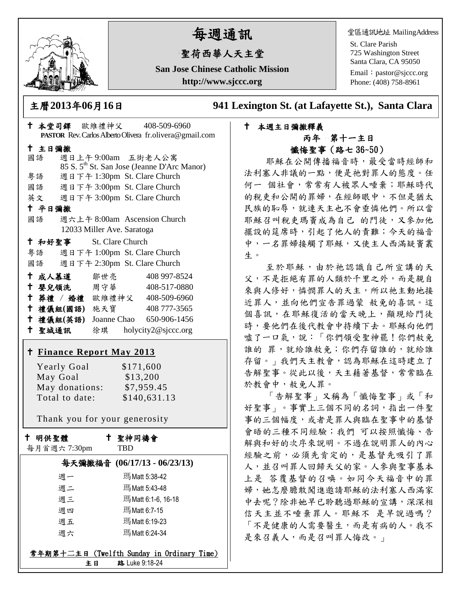

# 每週通訊

# 聖荷西華人天主堂

**San Jose Chinese Catholic Mission http://www.sjccc.org**

堂區通訊地址 MailingAddress

St. Clare Parish 725 Washington Street Santa Clara, CA 95050

Email: [pastor@sjccc.org](mailto:pastor@sjccc.org) Phone: (408) 758-8961

主曆**2013**年**06**月**16**日 **941 Lexington St. (at Lafayette St.), Santa Clara** 

#### 本週主日彌撒釋義 丙年 第十一主日 懺悔聖事(路七 36~50)

耶穌在公開傳播福音時,最受當時經師和 法利塞人非議的一點,便是祂對罪人的態度。任 何一 個社會,常常有人被眾人唾棄;耶穌時代 的稅吏和公開的罪婦,在經師眼中,不但是猶太 民族的恥辱,就連天主也不會垂憐他們。所以當 耶穌召叫稅吏瑪竇成為自己 的門徒,又參加他 擺設的筵席時,引起了他人的責難;今天的福音 中,一名罪婦接觸了耶穌,又使主人西滿疑竇叢 生。

至於耶穌,由於祂認識自己所宣講的天 父,不是拒絕有罪的人類於千里之外,而是親自 來與人修好,憐憫罪人的天主,所以祂主動地接 近罪人,並向他們宣告罪過蒙 赦免的喜訊。這 個喜訊,在耶穌復活的當天晚上,顯現給門徒 時,要他們在後代教會中持續下去。耶穌向他們 噓了一口氣,說:「你們領受聖神罷!你們赦免 誰的 罪,就給誰赦免;你們存留誰的,就給誰 存留。」我們天主教會,認為耶穌在這時建立了 告解聖事。從此以後,天主藉著基督,常常臨在 於教會中,赦免人罪。

「告解聖事」又稱為「懺悔聖事」或「和 好聖事」。事實上三個不同的名詞,指出一件聖 事的三個幅度,或者是罪人與臨在聖事中的基督 會晤的三種不同經驗;我們 可以按照懺悔、告 解與和好的次序來說明。不過在說明罪人的內心 經驗之前,必須先肯定的,是基督先吸引了罪 人,並召叫罪人回歸天父的家。人參與聖事基本 上是 答覆基督的召喚。如同今天福音中的罪 婦,她怎麼膽敢闖進邀請耶穌的法利塞人西滿家 中去呢?除非她早已聆聽過耶穌的宣講,深深相 信天主並不唾棄罪人。耶穌不 是早說過嗎? 「不是健康的人需要醫生,而是有病的人。我不 是來召義人,而是召叫罪人悔改。」

| + 本堂司鐸 歐維禮神父 408-509-6960                               |                                                         |
|---------------------------------------------------------|---------------------------------------------------------|
|                                                         | PASTOR Rev. Carlos Alberto Olivera fr.olivera@gmail.com |
| 十 主日彌撒                                                  |                                                         |
| 國語                                                      | 週日上午 9:00am 五街老人公寓                                      |
|                                                         | 85 S. 5 <sup>th</sup> St. San Jose (Jeanne D'Arc Manor) |
| 粤語                                                      | 週日下午 1:30pm St. Clare Church                            |
| 國語 週日下午 3:00pm St. Clare Church                         |                                                         |
| 英文 週日下午 3:00pm St. Clare Church<br>十 平日彌撒               |                                                         |
| 國語 週六上午 8:00am Ascension Church                         |                                                         |
| 12033 Miller Ave. Saratoga                              |                                                         |
| † 和好聖事 St. Clare Church                                 |                                                         |
| 粤語 週日下午 1:00pm St. Clare Church                         |                                                         |
| 國語 週日下午 2:30pm St. Clare Church                         |                                                         |
|                                                         |                                                         |
| ← 成人慕道   鄒世亮                                            | 408 997-8524                                            |
| † 嬰兒領洗 周守華 408-517-0880<br>+ 葬禮 / 婚禮 歐維禮神父 408-509-6960 |                                                         |
| † 禮儀組(國語) 施天寶 408777-3565                               |                                                         |
| <sup>†</sup> 禮儀組(英語) Joanne Chao 650-906-1456           |                                                         |
| + 聖城通訊 徐琪 holycity2@sjccc.org                           |                                                         |
|                                                         |                                                         |
| † Finance Report May 2013                               |                                                         |
| <b>Yearly Goal</b>                                      | \$171,600                                               |
| May Goal                                                | \$13,200                                                |
| May donations: \$7,959.45                               |                                                         |
| Total to date:                                          | \$140,631.13                                            |
|                                                         |                                                         |
| Thank you for your generosity                           |                                                         |
| 十 明供聖體                                                  | ↑ 聖神同禱會                                                 |
| 每月首週六 7:30pm                                            | TBD                                                     |
| 每天彌撒福音 (06/17/13 - 06/23/13)                            |                                                         |
| 週一                                                      | 瑪Matt 5:38-42                                           |
| 週二                                                      | 瑪Matt 5:43-48                                           |
| 週三                                                      | 瑪Matt 6:1-6, 16-18                                      |
| 週四                                                      | 瑪Matt 6:7-15                                            |
| 週五                                                      | 瑪Matt 6:19-23                                           |
| 週六                                                      | 瑪Matt 6:24-34                                           |
|                                                         |                                                         |

 $\frac{1}{2}$ **常年期第十二主日 (Twelfth Sunday in Ordinary Time)** 主日 路 Luke 9:18-24